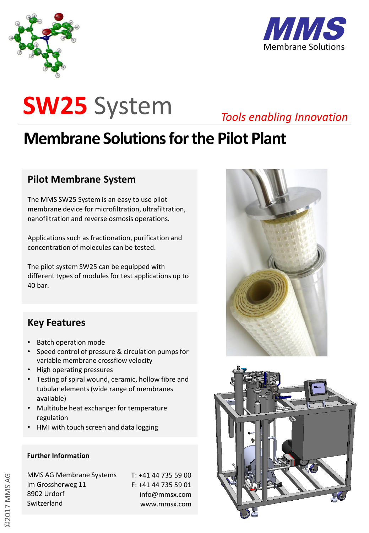



*Tools enabling Innovation*

### **Membrane Solutions forthe Pilot Plant**

### **Pilot Membrane System**

The MMS SW25 System is an easy to use pilot membrane device for microfiltration, ultrafiltration, nanofiltration and reverse osmosis operations.

Applications such as fractionation, purification and concentration of molecules can be tested.

The pilot system SW25 can be equipped with different types of modules for test applications up to 40 bar.

### **Key Features**

- Batch operation mode
- Speed control of pressure & circulation pumps for variable membrane crossflow velocity
- High operating pressures
- Testing of spiral wound, ceramic, hollow fibre and tubular elements (wide range of membranes available)
- Multitube heat exchanger for temperature regulation
- HMI with touch screen and data logging

#### **Further Information**

MMS AG Membrane Systems Im Grossherweg 11 8902 Urdorf Switzerland

T: +41 44 735 59 00 F: +41 44 735 59 01 info@mmsx.com www.mmsx.com



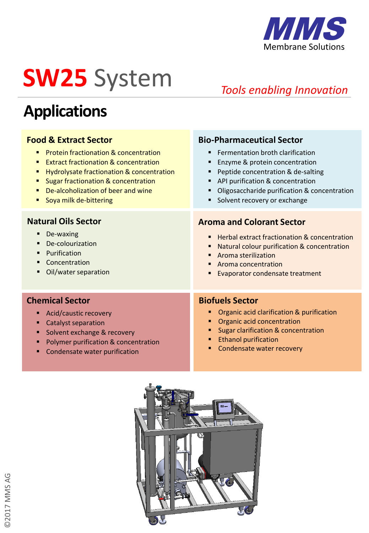

### *Tools enabling Innovation*

### **Applications**

#### **Bio-Pharmaceutical Sector** ■ Fermentation broth clarification ■ Enzyme & protein concentration ■ Peptide concentration & de-salting ■ API purification & concentration ■ Oligosaccharide purification & concentration **E** Solvent recovery or exchange **Food & Extract Sector •** Protein fractionation & concentration ■ Extract fractionation & concentration ■ Hydrolysate fractionation & concentration ■ Sugar fractionation & concentration ■ De-alcoholization of beer and wine ■ Soya milk de-bittering **Aroma and Colorant Sector** ■ Herbal extract fractionation & concentration ■ Natural colour purification & concentration ■ Aroma sterilization ■ Aroma concentration **Evaporator condensate treatment Biofuels Sector** ■ Organic acid clarification & purification Organic acid concentration **Sugar clarification & concentration Natural Oils Sector** ■ De-waxing ▪ De-colourization ■ Purification ■ Concentration ■ Oil/water separation **Chemical Sector** ■ Acid/caustic recovery ■ Catalyst separation ■ Solvent exchange & recovery ■ Polymer purification & concentration

■ Condensate water purification

- **Ethanol purification**
- Condensate water recovery

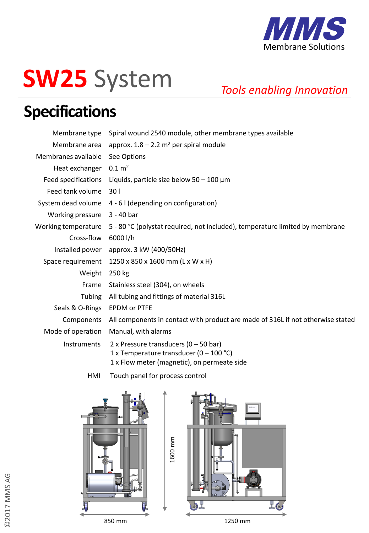

*Tools enabling Innovation*

### **Specifications**

| Membrane type       | Spiral wound 2540 module, other membrane types available                                                                                  |
|---------------------|-------------------------------------------------------------------------------------------------------------------------------------------|
| Membrane area       | approx. $1.8 - 2.2$ m <sup>2</sup> per spiral module                                                                                      |
| Membranes available | See Options                                                                                                                               |
| Heat exchanger      | $0.1 \, \text{m}^2$                                                                                                                       |
| Feed specifications | Liquids, particle size below $50 - 100 \mu m$                                                                                             |
| Feed tank volume    | 301                                                                                                                                       |
| System dead volume  | 4 - 6 I (depending on configuration)                                                                                                      |
| Working pressure    | 3 - 40 bar                                                                                                                                |
| Working temperature | 5 - 80 °C (polystat required, not included), temperature limited by membrane                                                              |
| Cross-flow          | 6000 l/h                                                                                                                                  |
| Installed power     | approx. 3 kW (400/50Hz)                                                                                                                   |
| Space requirement   | 1250 x 850 x 1600 mm (L x W x H)                                                                                                          |
| Weight              | 250 kg                                                                                                                                    |
| Frame               | Stainless steel (304), on wheels                                                                                                          |
| Tubing              | All tubing and fittings of material 316L                                                                                                  |
| Seals & O-Rings     | <b>EPDM or PTFE</b>                                                                                                                       |
| Components          | All components in contact with product are made of 316L if not otherwise stated                                                           |
| Mode of operation   | Manual, with alarms                                                                                                                       |
| Instruments         | 2 x Pressure transducers $(0 - 50 \text{ bar})$<br>1 x Temperature transducer (0 - 100 °C)<br>1 x Flow meter (magnetic), on permeate side |

HMI Touch panel for process control